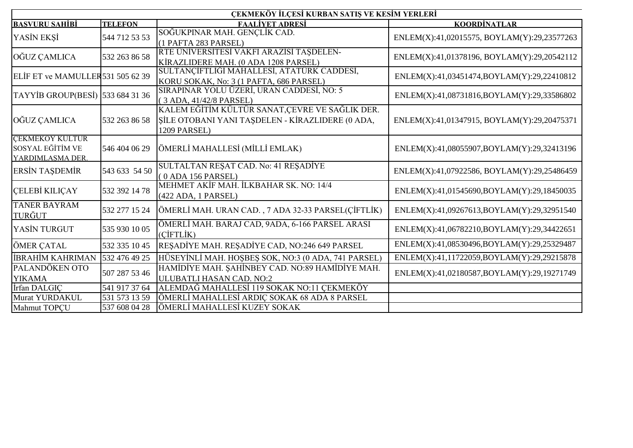|                                                                       |                | ÇEKMEKÖY İLÇESİ KURBAN SATIŞ VE KESİM YERLERİ                                                                      |                                             |
|-----------------------------------------------------------------------|----------------|--------------------------------------------------------------------------------------------------------------------|---------------------------------------------|
| <b>BASVURU SAHİBİ</b>                                                 | <b>TELEFON</b> | <b>FAALİYET ADRESİ</b>                                                                                             | KOORDİNATLAR                                |
| YASİN EKŞİ                                                            | 544 712 53 53  | SOĞUKPINAR MAH. GENÇLİK CAD.<br>(1 PAFTA 283 PARSEL)                                                               | ENLEM(X):41,02015575, BOYLAM(Y):29,23577263 |
| OĞUZ ÇAMLICA                                                          | 532 263 86 58  | RTE ÜNİVERSİTESİ VAKFI ARAZİSİ TAŞDELEN-<br>KİRAZLIDERE MAH. (0 ADA 1208 PARSEL)                                   | ENLEM(X):41,01378196, BOYLAM(Y):29,20542112 |
| ELIF ET ve MAMULLER 531 505 62 39                                     |                | SULTANÇİFTLİĞİ MAHALLESİ, ATATÜRK CADDESİ,<br>KORU SOKAK, No: 3 (1 PAFTA, 686 PARSEL)                              | ENLEM(X):41,03451474,BOYLAM(Y):29,22410812  |
| TAYYİB GROUP(BESİ) 533 684 31 36                                      |                | SIRAPINAR YOLU ÜZERİ, URAN CADDESİ, NO: 5<br>(3 ADA, 41/42/8 PARSEL)                                               | ENLEM(X):41,08731816,BOYLAM(Y):29,33586802  |
| OĞUZ CAMLICA                                                          | 532 263 86 58  | KALEM EĞİTİM KÜLTÜR SANAT,ÇEVRE VE SAĞLIK DER.<br>SİLE OTOBANI YANI TAŞDELEN - KİRAZLIDERE (0 ADA,<br>1209 PARSEL) | ENLEM(X):41,01347915, BOYLAM(Y):29,20475371 |
| <b>CEKMEKÖY KÜLTÜR</b><br><b>SOSYAL EĞİTİM VE</b><br>YARDIMLASMA DER. | 546 404 06 29  | ÖMERLİ MAHALLESİ (MİLLİ EMLAK)                                                                                     | ENLEM(X):41,08055907,BOYLAM(Y):29,32413196  |
| <b>ERSIN TAŞDEMİR</b>                                                 | 543 633 54 50  | SULTALTAN RESAT CAD. No: 41 RESADİYE<br>(0 ADA 156 PARSEL)                                                         | ENLEM(X):41,07922586, BOYLAM(Y):29,25486459 |
| <b>ÇELEBİ KILIÇAY</b>                                                 | 532 392 14 78  | MEHMET AKİF MAH. İLKBAHAR SK. NO: 14/4<br>(422 ADA, 1 PARSEL)                                                      | ENLEM(X):41,01545690,BOYLAM(Y):29,18450035  |
| <b>TANER BAYRAM</b><br>TURĞUT                                         | 532 277 15 24  | ÖMERLİ MAH. URAN CAD., 7 ADA 32-33 PARSEL(ÇİFTLİK)                                                                 | ENLEM(X):41,09267613,BOYLAM(Y):29,32951540  |
| YASİN TURGUT                                                          | 535 930 10 05  | ÖMERLİ MAH. BARAJ CAD, 9ADA, 6-166 PARSEL ARASI<br>(CİFTLİK)                                                       | ENLEM(X):41,06782210,BOYLAM(Y):29,34422651  |
| ÖMER ÇATAL                                                            | 532 335 10 45  | RESADİYE MAH. RESADİYE CAD, NO:246 649 PARSEL                                                                      | ENLEM(X):41,08530496,BOYLAM(Y):29,25329487  |
| İBRAHİM KAHRIMAN                                                      | 532 476 49 25  | HÜSEYİNLİ MAH. HOŞBEŞ SOK, NO:3 (0 ADA, 741 PARSEL)                                                                | ENLEM(X):41,11722059,BOYLAM(Y):29,29215878  |
| PALANDÖKEN OTO<br><b>YIKAMA</b>                                       | 507 287 53 46  | HAMIDIYE MAH. ŞAHİNBEY CAD. NO:89 HAMIDIYE MAH.<br>ULUBATLI HASAN CAD. NO:2                                        | ENLEM(X):41,02180587,BOYLAM(Y):29,19271749  |
| İrfan DALGIC                                                          | 541 917 37 64  | ALEMDAĞ MAHALLESİ 119 SOKAK NO:11 ÇEKMEKÖY                                                                         |                                             |
| <b>Murat YURDAKUL</b>                                                 | 531 573 13 59  | ÖMERLİ MAHALLESİ ARDIÇ SOKAK 68 ADA 8 PARSEL                                                                       |                                             |
| Mahmut TOPÇU                                                          | 537 608 04 28  | ÖMERLİ MAHALLESİ KUZEY SOKAK                                                                                       |                                             |